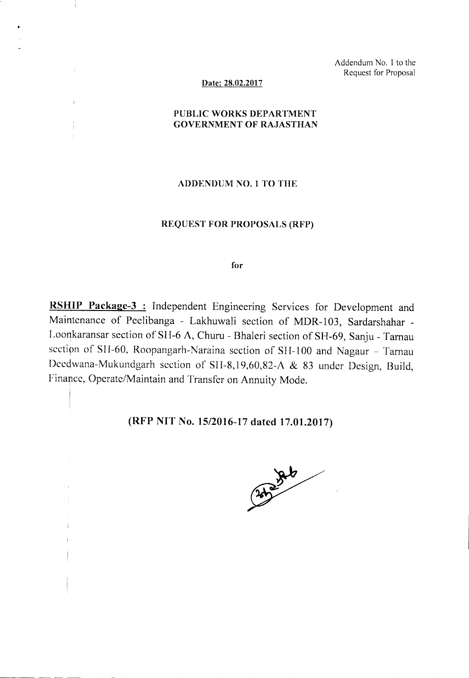Addendum No. 1 to the Request for Proposal

#### Date: 28.02.2017

## PUBLIC WORKS DEPARTMENT GOVERNMENT OF RAJASTHAN

### ADDENDUM NO.1 TO THE

### REQUEST FOR PROPOSALS (RFP)

for

RSHIP Package-3 : Independent Engineering Services for Development and Maintenance of Peelibanga - Lakhuwali section of MDR-I03, Sardarshahar - Loonkaransar section of SH-6 A, Churu - Bhaleri section of SH-69, Sanju - Tamau section of SH-60, Roopangarh-Naraina section of SH-100 and Nagaur - Tarnau Deedwana-Mukundgarh section of SH-8,19,60,82-A & 83 under Design, Build, Finance, Operate/Maintain and Transfer on Annuity Mode.

# (RFP NIT No. 15/2016-17dated 17.01.2017)

I

Ť

 $\overline{1}$ 

------

Catalogue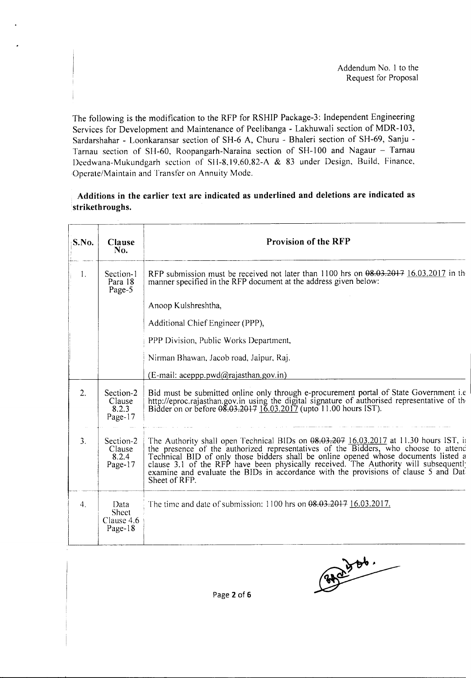Addendum No. I to the Request for Proposal

The following is the modification to the RFP for RSHIP Package-3: Independent Engineering Services for Development and Maintenance of Peelibanga - Lakhuwali section of MDR-103, Sardarshahar - Loonkaransar section of SH-6 A, Churu - Bhaleri section of SH-69, Sanju - Tarnau section of SH-60, Roopangarh-Naraina section of SH-100 and Nagaur - Tarnau Deedwana-Mukundgarh section of SII-8,19,60,82-A & 83 under Design, Build, Finance, Operate/Maintain and Transfer on Annuity Mode.

## **Additions in the earlier text are indicated as underlined and deletions are indicated as strikethroughs.**

| S.No.            | Clause<br>No.                                 | <b>Provision of the RFP</b>                                                                                                                                                                                                                                                                                                                                                                                                                                         |
|------------------|-----------------------------------------------|---------------------------------------------------------------------------------------------------------------------------------------------------------------------------------------------------------------------------------------------------------------------------------------------------------------------------------------------------------------------------------------------------------------------------------------------------------------------|
| $\mathbf{1}$ .   | Section-1<br>Para 18<br>Page-5                | RFP submission must be received not later than 1100 hrs on 08.03.2017 16.03.2017 in the<br>manner specified in the RFP document at the address given below:                                                                                                                                                                                                                                                                                                         |
|                  |                                               | Anoop Kulshreshtha,                                                                                                                                                                                                                                                                                                                                                                                                                                                 |
|                  |                                               | Additional Chief Engineer (PPP),                                                                                                                                                                                                                                                                                                                                                                                                                                    |
|                  |                                               | PPP Division, Public Works Department,                                                                                                                                                                                                                                                                                                                                                                                                                              |
|                  |                                               | Nirman Bhawan, Jacob road, Jaipur, Raj.                                                                                                                                                                                                                                                                                                                                                                                                                             |
|                  |                                               | $(E-mail: acepp.pwd@rajasthan.gov.in)$                                                                                                                                                                                                                                                                                                                                                                                                                              |
| 2.               | Section-2<br>Clause<br>8.2.3<br>Page-17       | Bid must be submitted online only through e-procurement portal of State Government <i>i.e</i><br>http://eproc.rajasthan.gov.in using the digital signature of authorised representative of the Bidder on or before $0.03.2017$ (upto 11.00 hours IST).                                                                                                                                                                                                              |
| $\overline{3}$ . | Section-2<br>Clause<br>8.2.4<br>Page-17       | The Authority shall open Technical BIDs on $0.03,0.207$ 16.03.2017 at 11.30 hours IST, in<br>the presence of the authorized representatives of the Bidders, who choose to attend<br>Technical BID of only those bidders shall be online opened whose documents listed a clause 3.1 of the RFP have been physically received. The Authority will subsequent!<br>examine and evaluate the BIDs in accordance with the provisions of clause 5 and Dat<br>Sheet of RFP. |
| $4_{\cdot}$      | Data<br><b>Sheet</b><br>Clause 4.6<br>Page-18 | The time and date of submission: 1100 hrs on $0.03,0.2017$ , 16.03.2017.                                                                                                                                                                                                                                                                                                                                                                                            |

 $\begin{picture}(180,10) \put(0,0){\line(1,0){10}} \put(10,0){\line(1,0){10}} \put(10,0){\line(1,0){10}} \put(10,0){\line(1,0){10}} \put(10,0){\line(1,0){10}} \put(10,0){\line(1,0){10}} \put(10,0){\line(1,0){10}} \put(10,0){\line(1,0){10}} \put(10,0){\line(1,0){10}} \put(10,0){\line(1,0){10}} \put(10,0){\line(1,0){10}} \put(10,0){\line($ 

Page 2 of 6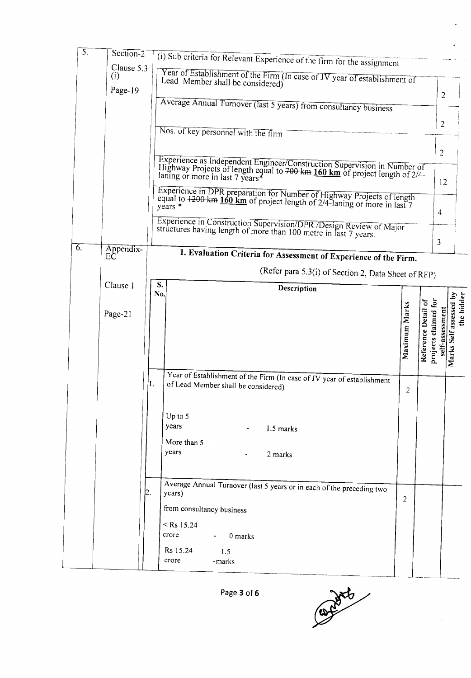| $\overline{5}$ . | $Section-2$     |                                                                                                                                                                                                            | (i) Sub criteria for Relevant Experience of the firm for the assignment                                                                                 |                |                                          |                 |                                      |  |  |  |
|------------------|-----------------|------------------------------------------------------------------------------------------------------------------------------------------------------------------------------------------------------------|---------------------------------------------------------------------------------------------------------------------------------------------------------|----------------|------------------------------------------|-----------------|--------------------------------------|--|--|--|
|                  | (i)             | Clause 5.3<br>Year of Establishment of the Firm (In case of JV year of establishment of<br>Lead Member shall be considered)<br>Page-19<br>Average Annual Turnover (last 5 years) from consultancy business |                                                                                                                                                         |                |                                          |                 |                                      |  |  |  |
|                  |                 |                                                                                                                                                                                                            |                                                                                                                                                         |                |                                          |                 |                                      |  |  |  |
|                  |                 |                                                                                                                                                                                                            |                                                                                                                                                         |                |                                          | $\overline{c}$  |                                      |  |  |  |
|                  |                 | Nos. of key personnel with the firm                                                                                                                                                                        |                                                                                                                                                         |                |                                          |                 |                                      |  |  |  |
|                  |                 |                                                                                                                                                                                                            |                                                                                                                                                         |                |                                          | $\overline{2}$  |                                      |  |  |  |
|                  |                 | laning or more in last 7 years*                                                                                                                                                                            | Experience as Independent Engineer/Construction Supervision in Number of<br>Highway Projects of length equal to 700 km 160 km of project length of 2/4- |                |                                          | 12              |                                      |  |  |  |
|                  |                 | Experience in DPR preparation for Number of Highway Projects of length<br>equal to 1200 km 160 km of project length of 2/4-laning or more in last 7<br>years *                                             |                                                                                                                                                         |                |                                          | 4               |                                      |  |  |  |
|                  |                 |                                                                                                                                                                                                            | Experience in Construction Supervision/DPR /Design Review of Major<br>structures having length of more than 100 metre in last 7 years.                  |                |                                          |                 |                                      |  |  |  |
| 6.               | Appendix-<br>EC |                                                                                                                                                                                                            | 1. Evaluation Criteria for Assessment of Experience of the Firm.                                                                                        |                |                                          | 3               |                                      |  |  |  |
|                  |                 |                                                                                                                                                                                                            | (Refer para 5.3(i) of Section 2, Data Sheet of RFP)                                                                                                     |                |                                          |                 |                                      |  |  |  |
|                  | Clause 1        | S.                                                                                                                                                                                                         | Description                                                                                                                                             |                |                                          |                 |                                      |  |  |  |
|                  |                 | No.                                                                                                                                                                                                        |                                                                                                                                                         |                | ð                                        |                 |                                      |  |  |  |
|                  | Page-21         |                                                                                                                                                                                                            |                                                                                                                                                         | Maximum Marks  | projects claimed for<br>Reference Detail | self-assessment | Marks Self assessed by<br>the bidder |  |  |  |
|                  |                 |                                                                                                                                                                                                            |                                                                                                                                                         |                |                                          |                 |                                      |  |  |  |
|                  |                 |                                                                                                                                                                                                            |                                                                                                                                                         |                |                                          |                 |                                      |  |  |  |
|                  |                 |                                                                                                                                                                                                            | Year of Establishment of the Firm (In case of JV year of establishment                                                                                  |                |                                          |                 |                                      |  |  |  |
|                  |                 | of Lead Member shall be considered)                                                                                                                                                                        |                                                                                                                                                         | 2              |                                          |                 |                                      |  |  |  |
|                  |                 | Up to 5                                                                                                                                                                                                    |                                                                                                                                                         |                |                                          |                 |                                      |  |  |  |
|                  |                 | years                                                                                                                                                                                                      | 1.5 marks<br>$\overline{\phantom{a}}$                                                                                                                   |                |                                          |                 |                                      |  |  |  |
|                  |                 | More than 5<br>years                                                                                                                                                                                       | 2 marks                                                                                                                                                 |                |                                          |                 |                                      |  |  |  |
|                  |                 |                                                                                                                                                                                                            |                                                                                                                                                         |                |                                          |                 |                                      |  |  |  |
|                  |                 |                                                                                                                                                                                                            | Average Annual Turnover (last 5 years or in each of the preceding two                                                                                   |                |                                          |                 |                                      |  |  |  |
|                  | 12.             | years)                                                                                                                                                                                                     |                                                                                                                                                         | $\overline{2}$ |                                          |                 |                                      |  |  |  |
|                  |                 | from consultancy business                                                                                                                                                                                  |                                                                                                                                                         |                |                                          |                 |                                      |  |  |  |
|                  |                 | $<$ Rs 15.24<br>crore<br>0 marks<br>$\mathbf{m} = 0.01$                                                                                                                                                    |                                                                                                                                                         |                |                                          |                 |                                      |  |  |  |
|                  |                 | Rs 15.24<br>1.5                                                                                                                                                                                            |                                                                                                                                                         |                |                                          |                 |                                      |  |  |  |
|                  |                 | crore<br>-marks                                                                                                                                                                                            |                                                                                                                                                         |                |                                          |                 |                                      |  |  |  |

Page 3 of 6

Control of

 $\ddot{\phantom{a}}$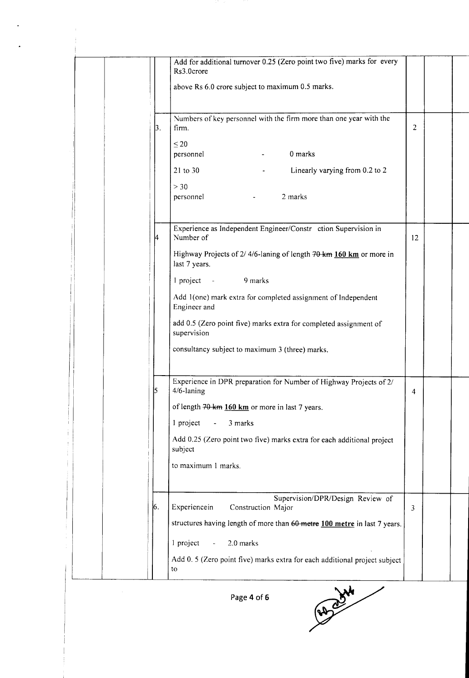|    | Add for additional turnover 0.25 (Zero point two five) marks for every<br>Rs3.0crore<br>above Rs 6.0 crore subject to maximum 0.5 marks. |                |  |
|----|------------------------------------------------------------------------------------------------------------------------------------------|----------------|--|
| 3. | Numbers of key personnel with the firm more than one year with the<br>firm.                                                              | $\overline{2}$ |  |
|    | $\leq 20$<br>0 marks<br>personnel                                                                                                        |                |  |
|    | 21 to 30<br>Linearly varying from 0.2 to 2                                                                                               |                |  |
|    | > 30<br>2 marks<br>personnel<br>$\overline{\phantom{a}}$                                                                                 |                |  |
| 14 | Experience as Independent Engineer/Constr ction Supervision in<br>Number of                                                              | 12             |  |
|    | Highway Projects of 2/ 4/6-laning of length 70 km 160 km or more in<br>last 7 years.                                                     |                |  |
|    | 1 project -<br>9 marks                                                                                                                   |                |  |
|    | Add 1(one) mark extra for completed assignment of Independent<br>Engineer and                                                            |                |  |
|    | add 0.5 (Zero point five) marks extra for completed assignment of<br>supervision                                                         |                |  |
|    | consultancy subject to maximum 3 (three) marks.                                                                                          |                |  |
| ļ5 | Experience in DPR preparation for Number of Highway Projects of 2/<br>4/6-laning                                                         | 4              |  |
|    | of length 70 km 160 km or more in last 7 years.                                                                                          |                |  |
|    | 1 project<br>3 marks                                                                                                                     |                |  |
|    | Add 0.25 (Zero point two five) marks extra for each additional project<br>subject                                                        |                |  |
|    | to maximum 1 marks.                                                                                                                      |                |  |
| 6. | Supervision/DPR/Design Review of<br>Experiencein<br>Construction Major                                                                   | $\overline{3}$ |  |
|    | structures having length of more than 60 metre 100 metre in last 7 years.                                                                |                |  |
|    | 2.0 marks<br>1 project<br>$\omega$                                                                                                       |                |  |
|    | Add 0.5 (Zero point five) marks extra for each additional project subject<br>to                                                          |                |  |

 $\ddot{\phantom{1}}$ 

Page 4 of 6

**RADOXN**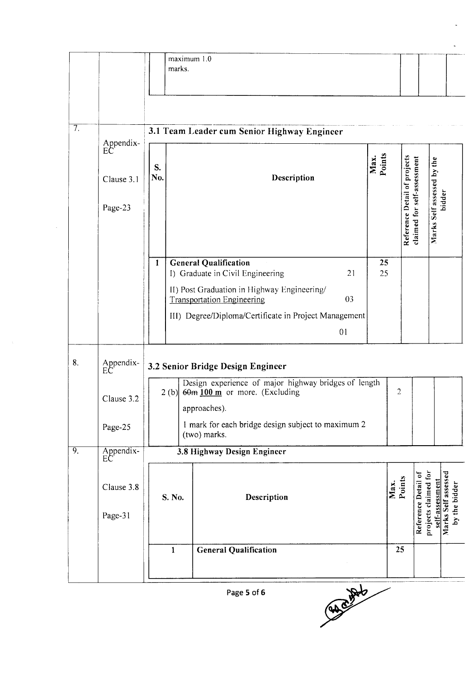|    |                                          |                                             | maximum 1.0<br>marks. |                                                                                                                                                                                       |          |                |                |                                                             |                                                                |  |
|----|------------------------------------------|---------------------------------------------|-----------------------|---------------------------------------------------------------------------------------------------------------------------------------------------------------------------------------|----------|----------------|----------------|-------------------------------------------------------------|----------------------------------------------------------------|--|
| 7. |                                          | 3.1 Team Leader cum Senior Highway Engineer |                       |                                                                                                                                                                                       |          |                |                |                                                             |                                                                |  |
|    | Appendix-<br>EC<br>Clause 3.1<br>Page-23 | S.<br>No.                                   |                       | Description                                                                                                                                                                           |          | Max.<br>Points |                | Reference Detail of projects<br>claimed for self-assessment | Marks Self assessed by the<br>bidder                           |  |
|    |                                          | $\mathbf{1}$                                |                       | <b>General Qualification</b><br>I) Graduate in Civil Engineering                                                                                                                      | 21       | 25<br>25       |                |                                                             |                                                                |  |
|    |                                          |                                             |                       | II) Post Graduation in Highway Engineering/<br><b>Transportation Engineering</b><br>III) Degree/Diploma/Certificate in Project Management                                             | 03<br>01 |                |                |                                                             |                                                                |  |
| 8. | Appendix-<br>EC                          |                                             |                       | 3.2 Senior Bridge Design Engineer                                                                                                                                                     |          |                |                |                                                             |                                                                |  |
|    | Clause 3.2<br>Page-25                    |                                             |                       | Design experience of major highway bridges of length<br>$2$ (b) $60m$ 100 m or more. (Excluding<br>approaches).<br>1 mark for each bridge design subject to maximum 2<br>(two) marks. |          |                | $\overline{2}$ |                                                             |                                                                |  |
| 9. | Appendix-<br>EC                          | 3.8 Highway Design Engineer                 |                       |                                                                                                                                                                                       |          |                |                |                                                             |                                                                |  |
|    | Clause 3.8<br>Page-31                    |                                             | S. No.                | Description                                                                                                                                                                           |          |                | Max.<br>Points | Reference Detail of                                         | projects claimed for<br>Marks Self assessed<br>self-assessment |  |
|    |                                          |                                             | $\mathbf{1}$          | <b>General Qualification</b>                                                                                                                                                          |          |                | 25             |                                                             |                                                                |  |

Cancello